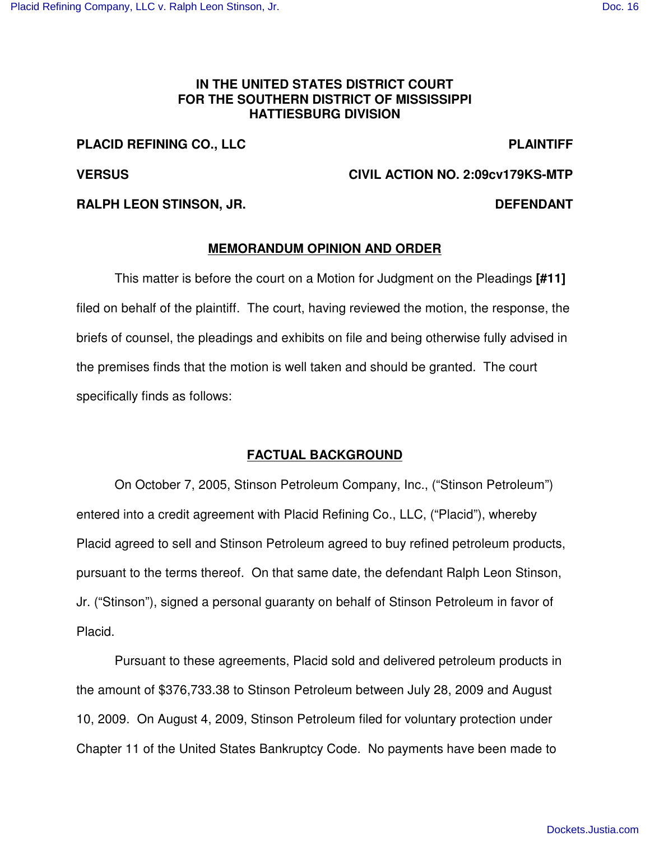## **IN THE UNITED STATES DISTRICT COURT FOR THE SOUTHERN DISTRICT OF MISSISSIPPI HATTIESBURG DIVISION**

## **PLACID REFINING CO., LLC PLAINTIFF**

**VERSUS CIVIL ACTION NO. 2:09cv179KS-MTP**

## **RALPH LEON STINSON, JR. DEFENDANT**

### **MEMORANDUM OPINION AND ORDER**

This matter is before the court on a Motion for Judgment on the Pleadings **[#11]** filed on behalf of the plaintiff. The court, having reviewed the motion, the response, the briefs of counsel, the pleadings and exhibits on file and being otherwise fully advised in the premises finds that the motion is well taken and should be granted. The court specifically finds as follows:

# **FACTUAL BACKGROUND**

On October 7, 2005, Stinson Petroleum Company, Inc., ("Stinson Petroleum") entered into a credit agreement with Placid Refining Co., LLC, ("Placid"), whereby Placid agreed to sell and Stinson Petroleum agreed to buy refined petroleum products, pursuant to the terms thereof. On that same date, the defendant Ralph Leon Stinson, Jr. ("Stinson"), signed a personal guaranty on behalf of Stinson Petroleum in favor of Placid.

Pursuant to these agreements, Placid sold and delivered petroleum products in the amount of \$376,733.38 to Stinson Petroleum between July 28, 2009 and August 10, 2009. On August 4, 2009, Stinson Petroleum filed for voluntary protection under Chapter 11 of the United States Bankruptcy Code. No payments have been made to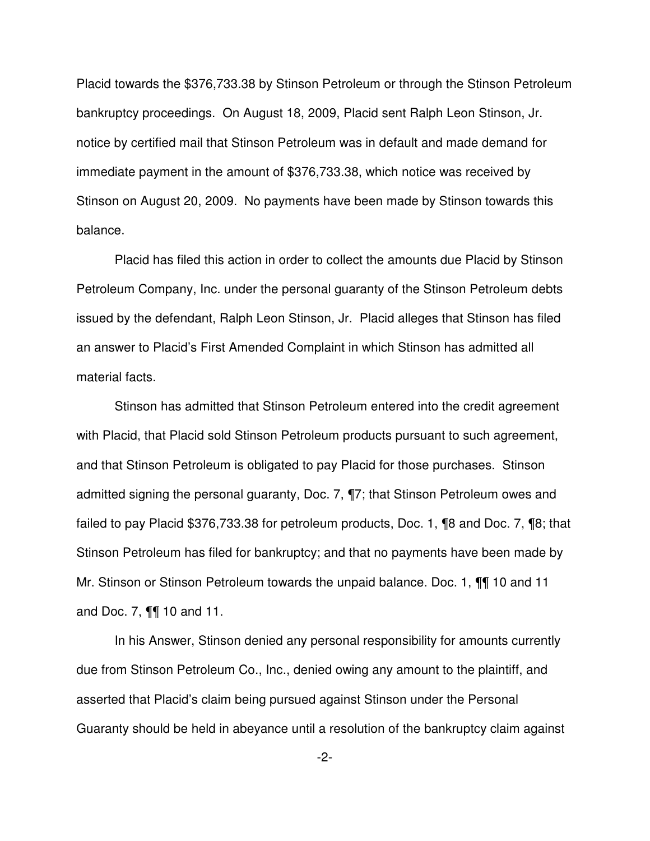Placid towards the \$376,733.38 by Stinson Petroleum or through the Stinson Petroleum bankruptcy proceedings. On August 18, 2009, Placid sent Ralph Leon Stinson, Jr. notice by certified mail that Stinson Petroleum was in default and made demand for immediate payment in the amount of \$376,733.38, which notice was received by Stinson on August 20, 2009. No payments have been made by Stinson towards this balance.

Placid has filed this action in order to collect the amounts due Placid by Stinson Petroleum Company, Inc. under the personal guaranty of the Stinson Petroleum debts issued by the defendant, Ralph Leon Stinson, Jr. Placid alleges that Stinson has filed an answer to Placid's First Amended Complaint in which Stinson has admitted all material facts.

Stinson has admitted that Stinson Petroleum entered into the credit agreement with Placid, that Placid sold Stinson Petroleum products pursuant to such agreement, and that Stinson Petroleum is obligated to pay Placid for those purchases. Stinson admitted signing the personal guaranty, Doc. 7, ¶7; that Stinson Petroleum owes and failed to pay Placid \$376,733.38 for petroleum products, Doc. 1, ¶8 and Doc. 7, ¶8; that Stinson Petroleum has filed for bankruptcy; and that no payments have been made by Mr. Stinson or Stinson Petroleum towards the unpaid balance. Doc. 1, ¶¶ 10 and 11 and Doc. 7, ¶¶ 10 and 11.

In his Answer, Stinson denied any personal responsibility for amounts currently due from Stinson Petroleum Co., Inc., denied owing any amount to the plaintiff, and asserted that Placid's claim being pursued against Stinson under the Personal Guaranty should be held in abeyance until a resolution of the bankruptcy claim against

-2-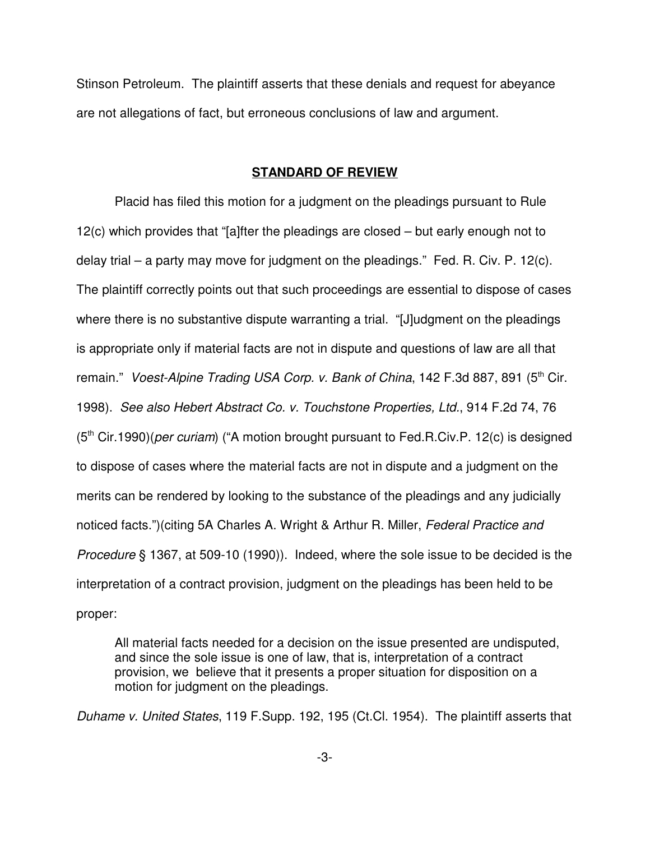Stinson Petroleum. The plaintiff asserts that these denials and request for abeyance are not allegations of fact, but erroneous conclusions of law and argument.

#### **STANDARD OF REVIEW**

Placid has filed this motion for a judgment on the pleadings pursuant to Rule 12(c) which provides that "[a]fter the pleadings are closed – but early enough not to delay trial – a party may move for judgment on the pleadings." Fed. R. Civ. P. 12(c). The plaintiff correctly points out that such proceedings are essential to dispose of cases where there is no substantive dispute warranting a trial. "[J]udgment on the pleadings is appropriate only if material facts are not in dispute and questions of law are all that remain." *Voest-Alpine Trading USA Corp. v. Bank of China*, 142 F.3d 887, 891 (5 th Cir. 1998). *See also Hebert Abstract Co. v. Touchstone Properties, Ltd.*, 914 F.2d 74, 76 (5<sup>th</sup> Cir.1990)(*per curiam*) ("A motion brought pursuant to Fed.R.Civ.P. 12(c) is designed to dispose of cases where the material facts are not in dispute and a judgment on the merits can be rendered by looking to the substance of the pleadings and any judicially noticed facts.")(citing 5A Charles A. Wright & Arthur R. Miller, *Federal Practice and Procedure* § 1367, at 509-10 (1990)). Indeed, where the sole issue to be decided is the interpretation of a contract provision, judgment on the pleadings has been held to be proper:

All material facts needed for a decision on the issue presented are undisputed, and since the sole issue is one of law, that is, interpretation of a contract provision, we believe that it presents a proper situation for disposition on a motion for judgment on the pleadings.

*Duhame v. United States*, 119 F.Supp. 192, 195 (Ct.Cl. 1954). The plaintiff asserts that

-3-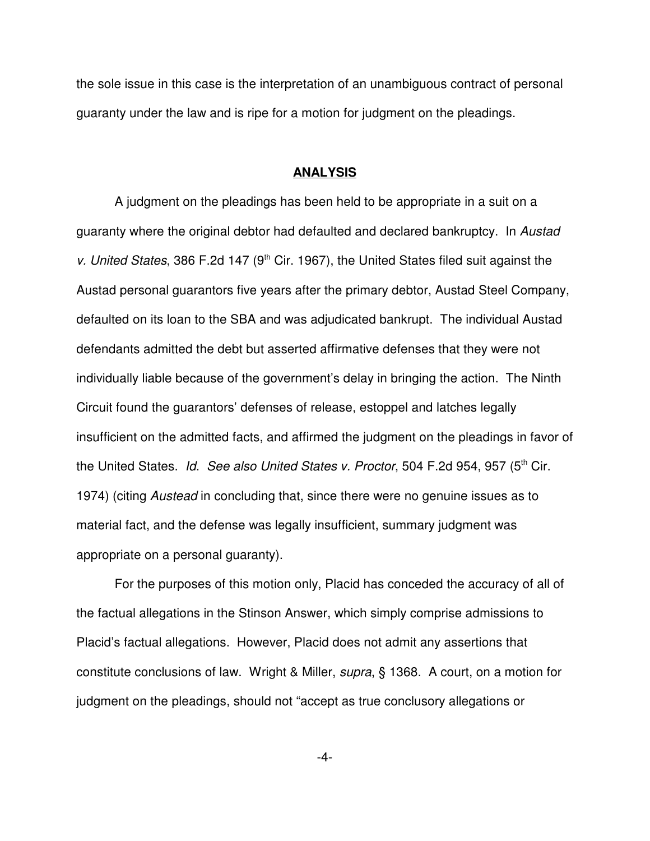the sole issue in this case is the interpretation of an unambiguous contract of personal guaranty under the law and is ripe for a motion for judgment on the pleadings.

#### **ANALYSIS**

A judgment on the pleadings has been held to be appropriate in a suit on a guaranty where the original debtor had defaulted and declared bankruptcy. In *Austad* v. United States, 386 F.2d 147 (9<sup>th</sup> Cir. 1967), the United States filed suit against the Austad personal guarantors five years after the primary debtor, Austad Steel Company, defaulted on its loan to the SBA and was adjudicated bankrupt. The individual Austad defendants admitted the debt but asserted affirmative defenses that they were not individually liable because of the government's delay in bringing the action. The Ninth Circuit found the guarantors' defenses of release, estoppel and latches legally insufficient on the admitted facts, and affirmed the judgment on the pleadings in favor of the United States. *Id*. *See also United States v. Proctor*, 504 F.2d 954, 957 (5 th Cir. 1974) (citing *Austead* in concluding that, since there were no genuine issues as to material fact, and the defense was legally insufficient, summary judgment was appropriate on a personal guaranty).

For the purposes of this motion only, Placid has conceded the accuracy of all of the factual allegations in the Stinson Answer, which simply comprise admissions to Placid's factual allegations. However, Placid does not admit any assertions that constitute conclusions of law. Wright & Miller, *supra*, § 1368. A court, on a motion for judgment on the pleadings, should not "accept as true conclusory allegations or

-4-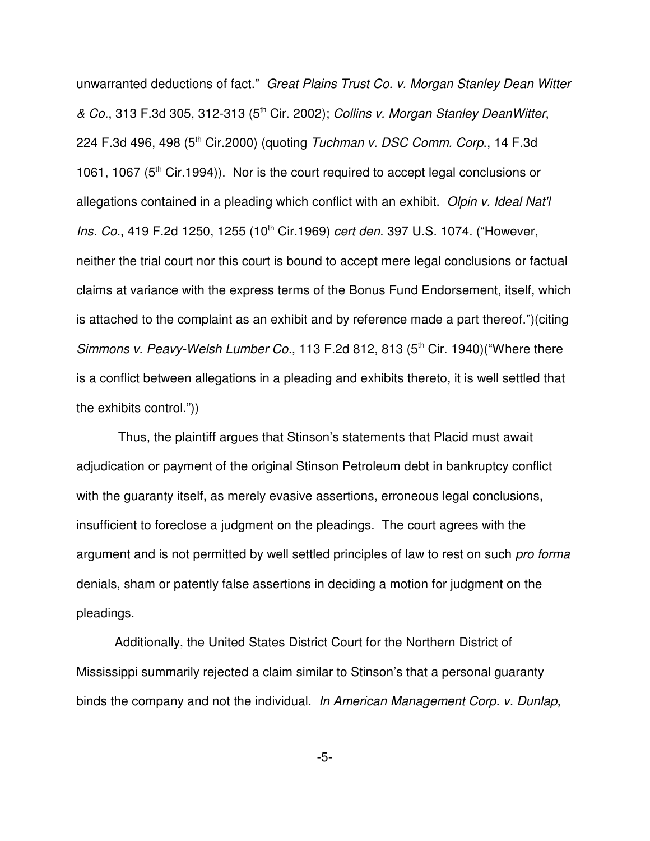unwarranted deductions of fact." *Great Plains Trust Co. v. Morgan Stanley Dean Witter & Co.*, 313 F.3d 305, 312-313 (5 th Cir. 2002); *Collins v. Morgan Stanley DeanWitter*, 224 F.3d 496, 498 (5 th Cir.2000) (quoting *Tuchman v. DSC Comm. Corp*., 14 F.3d 1061, 1067 (5<sup>th</sup> Cir.1994)). Nor is the court required to accept legal conclusions or allegations contained in a pleading which conflict with an exhibit. *Olpin v. Ideal Nat'l* Ins. Co., 419 F.2d 1250, 1255 (10<sup>th</sup> Cir.1969) *cert den*. 397 U.S. 1074. ("However, neither the trial court nor this court is bound to accept mere legal conclusions or factual claims at variance with the express terms of the Bonus Fund Endorsement, itself, which is attached to the complaint as an exhibit and by reference made a part thereof.")(citing *Simmons v. Peavy-Welsh Lumber Co.*, 113 F.2d 812, 813 (5 th Cir. 1940)("Where there is a conflict between allegations in a pleading and exhibits thereto, it is well settled that the exhibits control."))

Thus, the plaintiff argues that Stinson's statements that Placid must await adjudication or payment of the original Stinson Petroleum debt in bankruptcy conflict with the guaranty itself, as merely evasive assertions, erroneous legal conclusions, insufficient to foreclose a judgment on the pleadings. The court agrees with the argument and is not permitted by well settled principles of law to rest on such *pro forma* denials, sham or patently false assertions in deciding a motion for judgment on the pleadings.

Additionally, the United States District Court for the Northern District of Mississippi summarily rejected a claim similar to Stinson's that a personal guaranty binds the company and not the individual. *In American Management Corp. v. Dunlap*,

-5-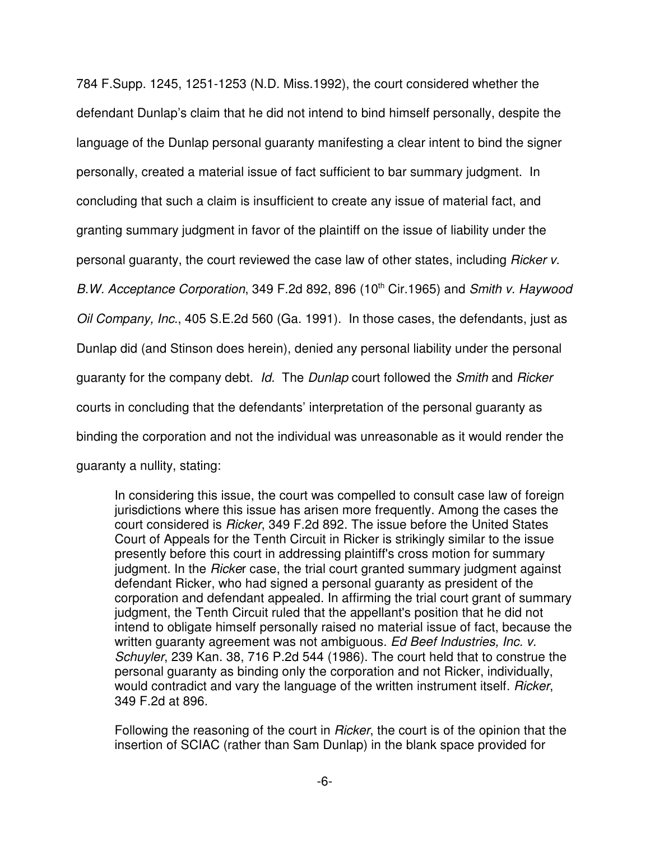784 F.Supp. 1245, 1251-1253 (N.D. Miss.1992), the court considered whether the defendant Dunlap's claim that he did not intend to bind himself personally, despite the language of the Dunlap personal guaranty manifesting a clear intent to bind the signer personally, created a material issue of fact sufficient to bar summary judgment. In concluding that such a claim is insufficient to create any issue of material fact, and granting summary judgment in favor of the plaintiff on the issue of liability under the personal guaranty, the court reviewed the case law of other states, including *Ricker v.* B.W. Acceptance Corporation, 349 F.2d 892, 896 (10<sup>th</sup> Cir.1965) and *Smith v. Haywood Oil Company, Inc.*, 405 S.E.2d 560 (Ga. 1991). In those cases, the defendants, just as Dunlap did (and Stinson does herein), denied any personal liability under the personal guaranty for the company debt. *Id.* The *Dunlap* court followed the *Smith* and *Ricker* courts in concluding that the defendants' interpretation of the personal guaranty as binding the corporation and not the individual was unreasonable as it would render the guaranty a nullity, stating:

In considering this issue, the court was compelled to consult case law of foreign jurisdictions where this issue has arisen more frequently. Among the cases the court considered is *Ricker*, 349 F.2d 892. The issue before the United States Court of Appeals for the Tenth Circuit in Ricker is strikingly similar to the issue presently before this court in addressing plaintiff's cross motion for summary judgment. In the *Ricke*r case, the trial court granted summary judgment against defendant Ricker, who had signed a personal guaranty as president of the corporation and defendant appealed. In affirming the trial court grant of summary judgment, the Tenth Circuit ruled that the appellant's position that he did not intend to obligate himself personally raised no material issue of fact, because the written guaranty agreement was not ambiguous. *Ed Beef Industries, Inc. v. Schuyler*, 239 Kan. 38, 716 P.2d 544 (1986). The court held that to construe the personal guaranty as binding only the corporation and not Ricker, individually, would contradict and vary the language of the written instrument itself. *Ricker*, 349 F.2d at 896.

Following the reasoning of the court in *Ricker*, the court is of the opinion that the insertion of SCIAC (rather than Sam Dunlap) in the blank space provided for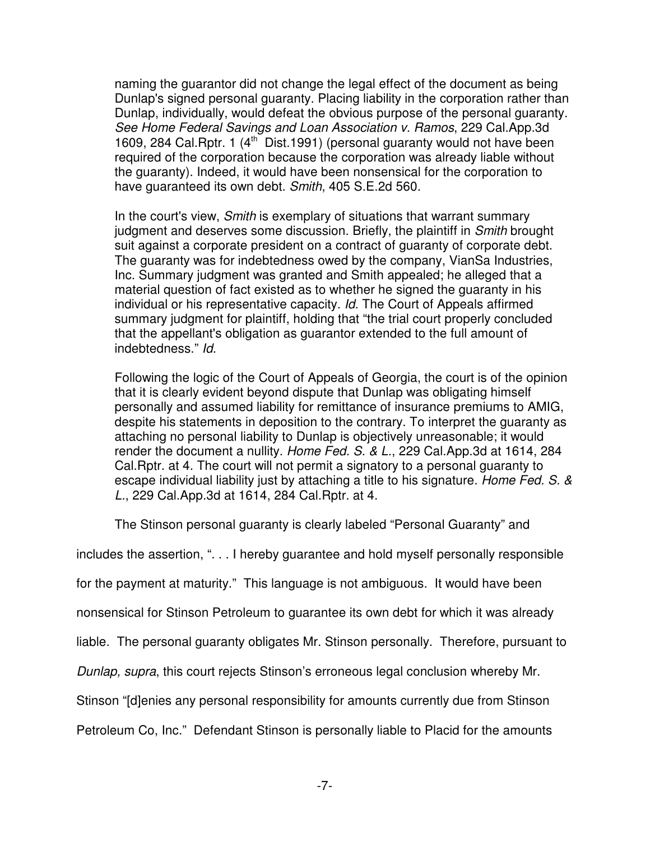naming the guarantor did not change the legal effect of the document as being Dunlap's signed personal guaranty. Placing liability in the corporation rather than Dunlap, individually, would defeat the obvious purpose of the personal guaranty. *See Home Federal Savings and Loan Association v. Ramos*, 229 Cal.App.3d 1609, 284 Cal. Rptr. 1 (4<sup>th</sup> Dist. 1991) (personal guaranty would not have been required of the corporation because the corporation was already liable without the guaranty). Indeed, it would have been nonsensical for the corporation to have guaranteed its own debt. *Smith*, 405 S.E.2d 560.

In the court's view, *Smith* is exemplary of situations that warrant summary judgment and deserves some discussion. Briefly, the plaintiff in *Smith* brought suit against a corporate president on a contract of guaranty of corporate debt. The guaranty was for indebtedness owed by the company, VianSa Industries, Inc. Summary judgment was granted and Smith appealed; he alleged that a material question of fact existed as to whether he signed the guaranty in his individual or his representative capacity. *Id*. The Court of Appeals affirmed summary judgment for plaintiff, holding that "the trial court properly concluded that the appellant's obligation as guarantor extended to the full amount of indebtedness." *Id*.

Following the logic of the Court of Appeals of Georgia, the court is of the opinion that it is clearly evident beyond dispute that Dunlap was obligating himself personally and assumed liability for remittance of insurance premiums to AMIG, despite his statements in deposition to the contrary. To interpret the guaranty as attaching no personal liability to Dunlap is objectively unreasonable; it would render the document a nullity. *Home Fed. S. & L.*, 229 Cal.App.3d at 1614, 284 Cal.Rptr. at 4. The court will not permit a signatory to a personal guaranty to escape individual liability just by attaching a title to his signature. *Home Fed. S. & L.*, 229 Cal.App.3d at 1614, 284 Cal.Rptr. at 4.

The Stinson personal guaranty is clearly labeled "Personal Guaranty" and

includes the assertion, ". . . I hereby guarantee and hold myself personally responsible

for the payment at maturity." This language is not ambiguous. It would have been

nonsensical for Stinson Petroleum to guarantee its own debt for which it was already

liable. The personal guaranty obligates Mr. Stinson personally. Therefore, pursuant to

*Dunlap, supra*, this court rejects Stinson's erroneous legal conclusion whereby Mr.

Stinson "[d]enies any personal responsibility for amounts currently due from Stinson

Petroleum Co, Inc." Defendant Stinson is personally liable to Placid for the amounts